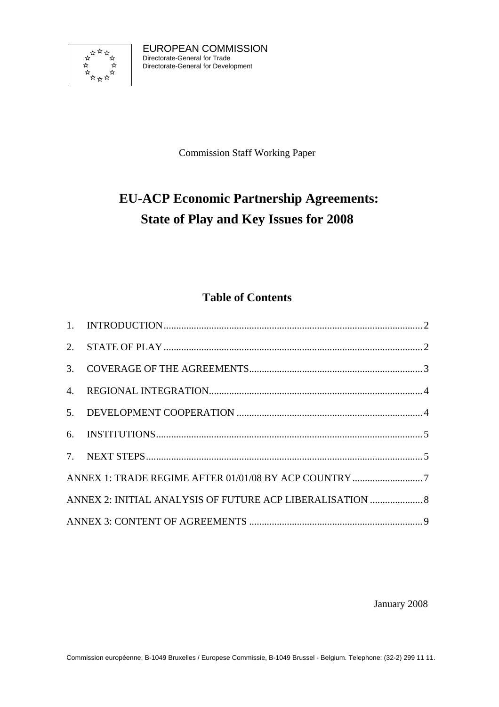

EUROPEAN COMMISSION Directorate-General for Trade Directorate-General for Development

Commission Staff Working Paper

# **EU-ACP Economic Partnership Agreements: State of Play and Key Issues for 2008**

# **Table of Contents**

| ANNEX 2: INITIAL ANALYSIS OF FUTURE ACP LIBERALISATION  8 |  |
|-----------------------------------------------------------|--|
|                                                           |  |

January 2008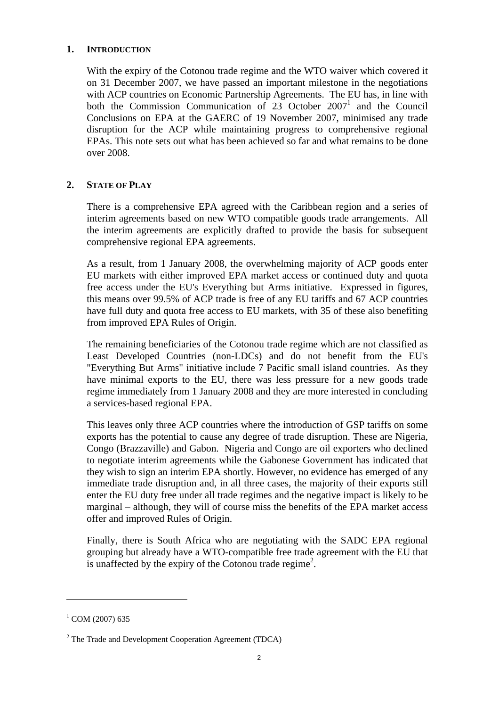# <span id="page-1-0"></span>**1. INTRODUCTION**

With the expiry of the Cotonou trade regime and the WTO waiver which covered it on 31 December 2007, we have passed an important milestone in the negotiations with ACP countries on Economic Partnership Agreements. The EU has, in line with both the Commission Communication of  $23$  October  $2007<sup>1</sup>$  and the Council Conclusions on EPA at the GAERC of 19 November 2007, minimised any trade disruption for the ACP while maintaining progress to comprehensive regional EPAs. This note sets out what has been achieved so far and what remains to be done over 2008.

# <span id="page-1-1"></span>**2. STATE OF PLAY**

There is a comprehensive EPA agreed with the Caribbean region and a series of interim agreements based on new WTO compatible goods trade arrangements. All the interim agreements are explicitly drafted to provide the basis for subsequent comprehensive regional EPA agreements.

As a result, from 1 January 2008, the overwhelming majority of ACP goods enter EU markets with either improved EPA market access or continued duty and quota free access under the EU's Everything but Arms initiative. Expressed in figures, this means over 99.5% of ACP trade is free of any EU tariffs and 67 ACP countries have full duty and quota free access to EU markets, with 35 of these also benefiting from improved EPA Rules of Origin.

The remaining beneficiaries of the Cotonou trade regime which are not classified as Least Developed Countries (non-LDCs) and do not benefit from the EU's "Everything But Arms" initiative include 7 Pacific small island countries. As they have minimal exports to the EU, there was less pressure for a new goods trade regime immediately from 1 January 2008 and they are more interested in concluding a services-based regional EPA.

This leaves only three ACP countries where the introduction of GSP tariffs on some exports has the potential to cause any degree of trade disruption. These are Nigeria, Congo (Brazzaville) and Gabon. Nigeria and Congo are oil exporters who declined to negotiate interim agreements while the Gabonese Government has indicated that they wish to sign an interim EPA shortly. However, no evidence has emerged of any immediate trade disruption and, in all three cases, the majority of their exports still enter the EU duty free under all trade regimes and the negative impact is likely to be marginal – although, they will of course miss the benefits of the EPA market access offer and improved Rules of Origin.

Finally, there is South Africa who are negotiating with the SADC EPA regional grouping but already have a WTO-compatible free trade agreement with the EU that is unaffected by the expiry of the Cotonou trade regime<sup>2</sup>.

 $\overline{a}$ 

 $^{1}$  COM (2007) 635

 $2$  The Trade and Development Cooperation Agreement (TDCA)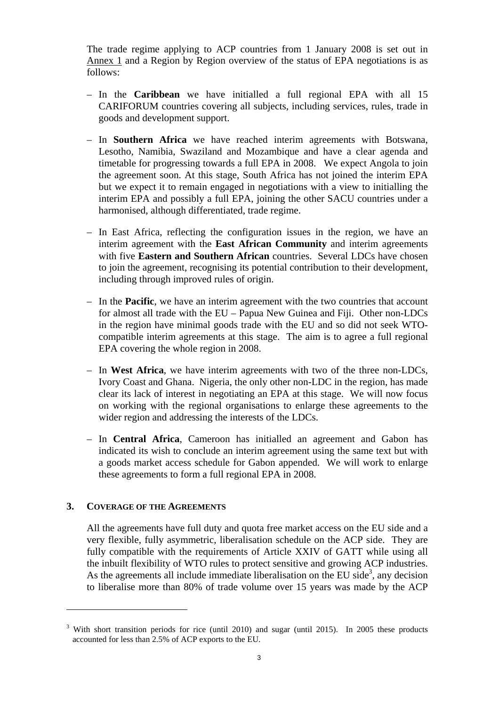The trade regime applying to ACP countries from 1 January 2008 is set out in Annex 1 and a Region by Region overview of the status of EPA negotiations is as follows:

- In the **Caribbean** we have initialled a full regional EPA with all 15 CARIFORUM countries covering all subjects, including services, rules, trade in goods and development support.
- In **Southern Africa** we have reached interim agreements with Botswana, Lesotho, Namibia, Swaziland and Mozambique and have a clear agenda and timetable for progressing towards a full EPA in 2008. We expect Angola to join the agreement soon. At this stage, South Africa has not joined the interim EPA but we expect it to remain engaged in negotiations with a view to initialling the interim EPA and possibly a full EPA, joining the other SACU countries under a harmonised, although differentiated, trade regime.
- In East Africa, reflecting the configuration issues in the region, we have an interim agreement with the **East African Community** and interim agreements with five **Eastern and Southern African** countries. Several LDCs have chosen to join the agreement, recognising its potential contribution to their development, including through improved rules of origin.
- In the **Pacific**, we have an interim agreement with the two countries that account for almost all trade with the EU – Papua New Guinea and Fiji. Other non-LDCs in the region have minimal goods trade with the EU and so did not seek WTOcompatible interim agreements at this stage. The aim is to agree a full regional EPA covering the whole region in 2008.
- In **West Africa**, we have interim agreements with two of the three non-LDCs, Ivory Coast and Ghana. Nigeria, the only other non-LDC in the region, has made clear its lack of interest in negotiating an EPA at this stage. We will now focus on working with the regional organisations to enlarge these agreements to the wider region and addressing the interests of the LDCs.
- In **Central Africa**, Cameroon has initialled an agreement and Gabon has indicated its wish to conclude an interim agreement using the same text but with a goods market access schedule for Gabon appended. We will work to enlarge these agreements to form a full regional EPA in 2008.

## <span id="page-2-0"></span>**3. COVERAGE OF THE AGREEMENTS**

 $\overline{a}$ 

All the agreements have full duty and quota free market access on the EU side and a very flexible, fully asymmetric, liberalisation schedule on the ACP side. They are fully compatible with the requirements of Article XXIV of GATT while using all the inbuilt flexibility of WTO rules to protect sensitive and growing ACP industries. As the agreements all include immediate liberalisation on the EU side<sup>3</sup>, any decision to liberalise more than 80% of trade volume over 15 years was made by the ACP

<sup>&</sup>lt;sup>3</sup> With short transition periods for rice (until 2010) and sugar (until 2015). In 2005 these products accounted for less than 2.5% of ACP exports to the EU.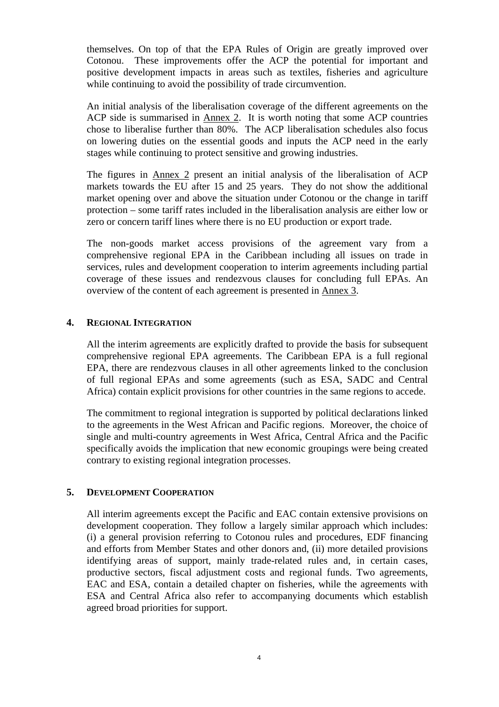themselves. On top of that the EPA Rules of Origin are greatly improved over Cotonou. These improvements offer the ACP the potential for important and positive development impacts in areas such as textiles, fisheries and agriculture while continuing to avoid the possibility of trade circumvention.

An initial analysis of the liberalisation coverage of the different agreements on the ACP side is summarised in Annex 2. It is worth noting that some ACP countries chose to liberalise further than 80%. The ACP liberalisation schedules also focus on lowering duties on the essential goods and inputs the ACP need in the early stages while continuing to protect sensitive and growing industries.

The figures in Annex 2 present an initial analysis of the liberalisation of ACP markets towards the EU after 15 and 25 years. They do not show the additional market opening over and above the situation under Cotonou or the change in tariff protection – some tariff rates included in the liberalisation analysis are either low or zero or concern tariff lines where there is no EU production or export trade.

The non-goods market access provisions of the agreement vary from a comprehensive regional EPA in the Caribbean including all issues on trade in services, rules and development cooperation to interim agreements including partial coverage of these issues and rendezvous clauses for concluding full EPAs. An overview of the content of each agreement is presented in Annex 3.

## <span id="page-3-0"></span>**4. REGIONAL INTEGRATION**

All the interim agreements are explicitly drafted to provide the basis for subsequent comprehensive regional EPA agreements. The Caribbean EPA is a full regional EPA, there are rendezvous clauses in all other agreements linked to the conclusion of full regional EPAs and some agreements (such as ESA, SADC and Central Africa) contain explicit provisions for other countries in the same regions to accede.

The commitment to regional integration is supported by political declarations linked to the agreements in the West African and Pacific regions. Moreover, the choice of single and multi-country agreements in West Africa, Central Africa and the Pacific specifically avoids the implication that new economic groupings were being created contrary to existing regional integration processes.

# <span id="page-3-1"></span>**5. DEVELOPMENT COOPERATION**

All interim agreements except the Pacific and EAC contain extensive provisions on development cooperation. They follow a largely similar approach which includes: (i) a general provision referring to Cotonou rules and procedures, EDF financing and efforts from Member States and other donors and, (ii) more detailed provisions identifying areas of support, mainly trade-related rules and, in certain cases, productive sectors, fiscal adjustment costs and regional funds. Two agreements, EAC and ESA, contain a detailed chapter on fisheries, while the agreements with ESA and Central Africa also refer to accompanying documents which establish agreed broad priorities for support.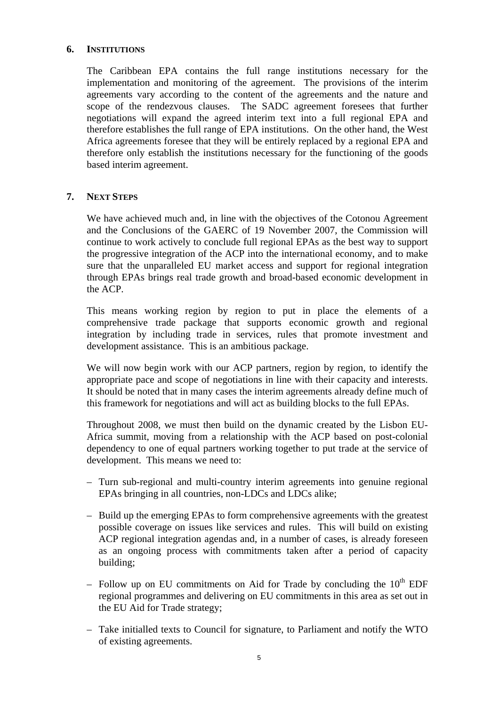### <span id="page-4-0"></span>**6. INSTITUTIONS**

The Caribbean EPA contains the full range institutions necessary for the implementation and monitoring of the agreement. The provisions of the interim agreements vary according to the content of the agreements and the nature and scope of the rendezvous clauses. The SADC agreement foresees that further negotiations will expand the agreed interim text into a full regional EPA and therefore establishes the full range of EPA institutions. On the other hand, the West Africa agreements foresee that they will be entirely replaced by a regional EPA and therefore only establish the institutions necessary for the functioning of the goods based interim agreement.

## <span id="page-4-1"></span>**7. NEXT STEPS**

We have achieved much and, in line with the objectives of the Cotonou Agreement and the Conclusions of the GAERC of 19 November 2007, the Commission will continue to work actively to conclude full regional EPAs as the best way to support the progressive integration of the ACP into the international economy, and to make sure that the unparalleled EU market access and support for regional integration through EPAs brings real trade growth and broad-based economic development in the ACP.

This means working region by region to put in place the elements of a comprehensive trade package that supports economic growth and regional integration by including trade in services, rules that promote investment and development assistance. This is an ambitious package.

We will now begin work with our ACP partners, region by region, to identify the appropriate pace and scope of negotiations in line with their capacity and interests. It should be noted that in many cases the interim agreements already define much of this framework for negotiations and will act as building blocks to the full EPAs.

Throughout 2008, we must then build on the dynamic created by the Lisbon EU-Africa summit, moving from a relationship with the ACP based on post-colonial dependency to one of equal partners working together to put trade at the service of development. This means we need to:

- Turn sub-regional and multi-country interim agreements into genuine regional EPAs bringing in all countries, non-LDCs and LDCs alike;
- Build up the emerging EPAs to form comprehensive agreements with the greatest possible coverage on issues like services and rules. This will build on existing ACP regional integration agendas and, in a number of cases, is already foreseen as an ongoing process with commitments taken after a period of capacity building;
- Follow up on EU commitments on Aid for Trade by concluding the  $10<sup>th</sup>$  EDF regional programmes and delivering on EU commitments in this area as set out in the EU Aid for Trade strategy;
- Take initialled texts to Council for signature, to Parliament and notify the WTO of existing agreements.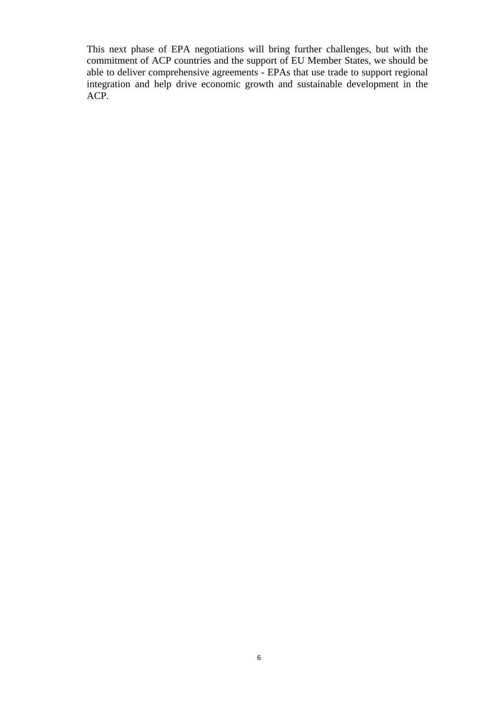This next phase of EPA negotiations will bring further challenges, but with the commitment of ACP countries and the support of EU Member States, we should be able to deliver comprehensive agreements - EPAs that use trade to support regional integration and help drive economic growth and sustainable development in the ACP.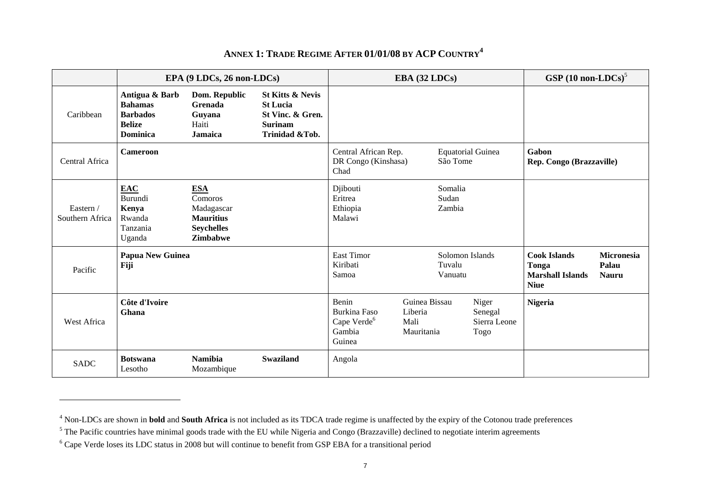|                              | EPA (9 LDCs, 26 non-LDCs)                                                        |                                                                                                 |                                                                                                        | EBA (32 LDCs)                                                        |                                                                               |                                            | GSP $(10 \text{ non-LDCs})^5$            |                |  |
|------------------------------|----------------------------------------------------------------------------------|-------------------------------------------------------------------------------------------------|--------------------------------------------------------------------------------------------------------|----------------------------------------------------------------------|-------------------------------------------------------------------------------|--------------------------------------------|------------------------------------------|----------------|--|
| Caribbean                    | Antigua & Barb<br><b>Bahamas</b><br><b>Barbados</b><br><b>Belize</b><br>Dominica | Dom. Republic<br>Grenada<br>Guyana<br>Haiti<br>Jamaica                                          | <b>St Kitts &amp; Nevis</b><br><b>St Lucia</b><br>St Vinc. & Gren.<br><b>Surinam</b><br>Trinidad &Tob. |                                                                      |                                                                               |                                            |                                          |                |  |
| Central Africa               | <b>Cameroon</b>                                                                  | Central African Rep.<br><b>Equatorial Guinea</b><br>São Tome<br>DR Congo (Kinshasa)<br>Chad     |                                                                                                        | Gabon<br>Rep. Congo (Brazzaville)                                    |                                                                               |                                            |                                          |                |  |
| Eastern /<br>Southern Africa | <b>EAC</b><br>Burundi<br>Kenya<br>Rwanda<br>Tanzania<br>Uganda                   | <b>ESA</b><br>Comoros<br>Madagascar<br><b>Mauritius</b><br><b>Seychelles</b><br><b>Zimbabwe</b> |                                                                                                        | Djibouti<br>Eritrea<br>Ethiopia<br>Malawi                            |                                                                               | Somalia<br>Sudan<br>Zambia                 |                                          |                |  |
| Pacific                      | Papua New Guinea<br>Fiji                                                         |                                                                                                 | East Timor<br>Solomon Islands<br>Kiribati<br>Tuvalu<br>Samoa<br>Vanuatu                                |                                                                      | <b>Cook Islands</b><br><b>Tonga</b><br><b>Marshall Islands</b><br><b>Niue</b> | <b>Micronesia</b><br>Palau<br><b>Nauru</b> |                                          |                |  |
| West Africa                  | Côte d'Ivoire<br>Ghana                                                           |                                                                                                 |                                                                                                        | Benin<br>Burkina Faso<br>Cape Verde <sup>6</sup><br>Gambia<br>Guinea | Guinea Bissau<br>Liberia<br>Mali<br>Mauritania                                |                                            | Niger<br>Senegal<br>Sierra Leone<br>Togo | <b>Nigeria</b> |  |
| <b>SADC</b>                  | <b>Botswana</b><br>Lesotho                                                       | <b>Namibia</b><br>Mozambique                                                                    | <b>Swaziland</b>                                                                                       | Angola                                                               |                                                                               |                                            |                                          |                |  |

## **ANNEX 1: TRADE REGIME AFTER 01/01/08 BY ACP COUNTRY<sup>4</sup>**

<span id="page-6-0"></span><sup>4</sup> Non-LDCs are shown in **bold** and **South Africa** is not included as its TDCA trade regime is unaffected by the expiry of the Cotonou trade preferences

<sup>&</sup>lt;sup>5</sup> The Pacific countries have minimal goods trade with the EU while Nigeria and Congo (Brazzaville) declined to negotiate interim agreements

<sup>6</sup> Cape Verde loses its LDC status in 2008 but will continue to benefit from GSP EBA for a transitional period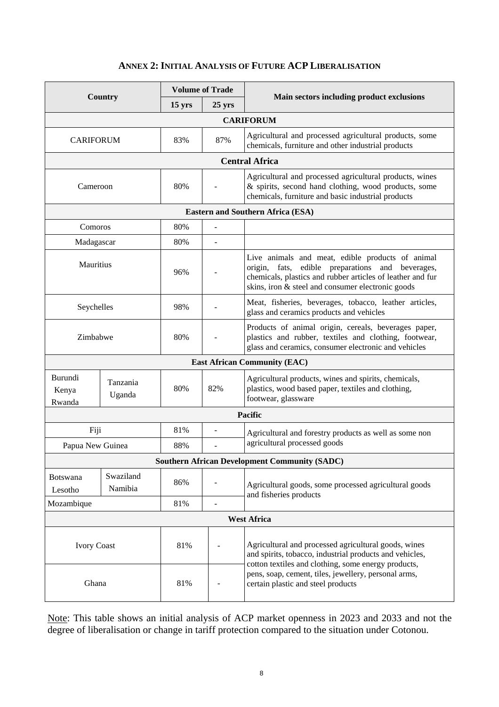# **ANNEX 2: INITIAL ANALYSIS OF FUTURE ACP LIBERALISATION**

<span id="page-7-0"></span>

| <b>Country</b>                           |                      | <b>Volume of Trade</b> |                                                                                                                                                                       |                                                                                                                                                                                                                         |  |  |  |  |
|------------------------------------------|----------------------|------------------------|-----------------------------------------------------------------------------------------------------------------------------------------------------------------------|-------------------------------------------------------------------------------------------------------------------------------------------------------------------------------------------------------------------------|--|--|--|--|
|                                          |                      | 15 yrs                 | $25 \text{ yrs}$                                                                                                                                                      | Main sectors including product exclusions                                                                                                                                                                               |  |  |  |  |
| <b>CARIFORUM</b>                         |                      |                        |                                                                                                                                                                       |                                                                                                                                                                                                                         |  |  |  |  |
| <b>CARIFORUM</b>                         |                      | 83%                    | 87%                                                                                                                                                                   | Agricultural and processed agricultural products, some<br>chemicals, furniture and other industrial products                                                                                                            |  |  |  |  |
|                                          |                      |                        | <b>Central Africa</b>                                                                                                                                                 |                                                                                                                                                                                                                         |  |  |  |  |
| Cameroon                                 |                      | 80%                    |                                                                                                                                                                       | Agricultural and processed agricultural products, wines<br>& spirits, second hand clothing, wood products, some<br>chemicals, furniture and basic industrial products                                                   |  |  |  |  |
| <b>Eastern and Southern Africa (ESA)</b> |                      |                        |                                                                                                                                                                       |                                                                                                                                                                                                                         |  |  |  |  |
| Comoros                                  |                      | 80%                    |                                                                                                                                                                       |                                                                                                                                                                                                                         |  |  |  |  |
| Madagascar                               |                      | 80%                    |                                                                                                                                                                       |                                                                                                                                                                                                                         |  |  |  |  |
| <b>Mauritius</b>                         |                      | 96%                    |                                                                                                                                                                       | Live animals and meat, edible products of animal<br>origin, fats, edible preparations and beverages,<br>chemicals, plastics and rubber articles of leather and fur<br>skins, iron & steel and consumer electronic goods |  |  |  |  |
| Seychelles                               |                      | 98%                    |                                                                                                                                                                       | Meat, fisheries, beverages, tobacco, leather articles,<br>glass and ceramics products and vehicles                                                                                                                      |  |  |  |  |
| Zimbabwe                                 |                      | 80%                    | Products of animal origin, cereals, beverages paper,<br>plastics and rubber, textiles and clothing, footwear,<br>glass and ceramics, consumer electronic and vehicles |                                                                                                                                                                                                                         |  |  |  |  |
|                                          |                      |                        |                                                                                                                                                                       | <b>East African Community (EAC)</b>                                                                                                                                                                                     |  |  |  |  |
| Burundi<br>Kenya<br>Rwanda               | Tanzania<br>Uganda   |                        | 82%                                                                                                                                                                   | Agricultural products, wines and spirits, chemicals,<br>plastics, wood based paper, textiles and clothing,<br>footwear, glassware                                                                                       |  |  |  |  |
|                                          |                      |                        |                                                                                                                                                                       | Pacific                                                                                                                                                                                                                 |  |  |  |  |
| Fiji                                     |                      | 81%<br>88%             | $\overline{\phantom{a}}$<br>L.                                                                                                                                        | Agricultural and forestry products as well as some non<br>agricultural processed goods                                                                                                                                  |  |  |  |  |
| Papua New Guinea                         |                      |                        |                                                                                                                                                                       | <b>Southern African Development Community (SADC)</b>                                                                                                                                                                    |  |  |  |  |
|                                          |                      |                        |                                                                                                                                                                       |                                                                                                                                                                                                                         |  |  |  |  |
| <b>Botswana</b><br>Lesotho               | Swaziland<br>Namibia | 86%                    |                                                                                                                                                                       | Agricultural goods, some processed agricultural goods<br>and fisheries products                                                                                                                                         |  |  |  |  |
| Mozambique                               |                      | 81%                    |                                                                                                                                                                       |                                                                                                                                                                                                                         |  |  |  |  |
| <b>West Africa</b>                       |                      |                        |                                                                                                                                                                       |                                                                                                                                                                                                                         |  |  |  |  |
| <b>Ivory Coast</b>                       |                      | 81%                    |                                                                                                                                                                       | Agricultural and processed agricultural goods, wines<br>and spirits, tobacco, industrial products and vehicles,<br>cotton textiles and clothing, some energy products,                                                  |  |  |  |  |
| Ghana                                    |                      | 81%                    |                                                                                                                                                                       | pens, soap, cement, tiles, jewellery, personal arms,<br>certain plastic and steel products                                                                                                                              |  |  |  |  |

Note: This table shows an initial analysis of ACP market openness in 2023 and 2033 and not the degree of liberalisation or change in tariff protection compared to the situation under Cotonou.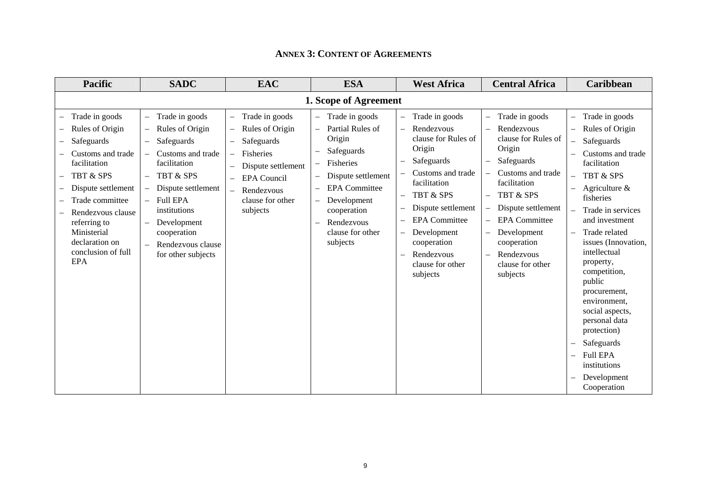<span id="page-8-0"></span>

| <b>Pacific</b>                                                                                                                                                                                                                                       | <b>SADC</b>                                                                                                                                                                                                                                                                                                                                                                                            | <b>EAC</b>                                                                                                                                                                                                                                                                                       | <b>ESA</b>                                                                                                                                                                                        | <b>West Africa</b>                                                                                                                                                                                                                                                                                                                                     | <b>Central Africa</b>                                                                                                                                                                                                                                                                                           | <b>Caribbean</b>                                                                                                                                                                                                                                                                                                                                                                                                                                      |  |  |  |  |  |
|------------------------------------------------------------------------------------------------------------------------------------------------------------------------------------------------------------------------------------------------------|--------------------------------------------------------------------------------------------------------------------------------------------------------------------------------------------------------------------------------------------------------------------------------------------------------------------------------------------------------------------------------------------------------|--------------------------------------------------------------------------------------------------------------------------------------------------------------------------------------------------------------------------------------------------------------------------------------------------|---------------------------------------------------------------------------------------------------------------------------------------------------------------------------------------------------|--------------------------------------------------------------------------------------------------------------------------------------------------------------------------------------------------------------------------------------------------------------------------------------------------------------------------------------------------------|-----------------------------------------------------------------------------------------------------------------------------------------------------------------------------------------------------------------------------------------------------------------------------------------------------------------|-------------------------------------------------------------------------------------------------------------------------------------------------------------------------------------------------------------------------------------------------------------------------------------------------------------------------------------------------------------------------------------------------------------------------------------------------------|--|--|--|--|--|
| 1. Scope of Agreement                                                                                                                                                                                                                                |                                                                                                                                                                                                                                                                                                                                                                                                        |                                                                                                                                                                                                                                                                                                  |                                                                                                                                                                                                   |                                                                                                                                                                                                                                                                                                                                                        |                                                                                                                                                                                                                                                                                                                 |                                                                                                                                                                                                                                                                                                                                                                                                                                                       |  |  |  |  |  |
| Trade in goods<br>Rules of Origin<br>Safeguards<br>Customs and trade<br>facilitation<br>TBT & SPS<br>Dispute settlement<br>Trade committee<br>Rendezvous clause<br>referring to<br>Ministerial<br>declaration on<br>conclusion of full<br><b>EPA</b> | Trade in goods<br>$\overline{\phantom{0}}$<br>Rules of Origin<br>$\overline{\phantom{0}}$<br>Safeguards<br>$\overline{\phantom{0}}$<br>Customs and trade<br>facilitation<br><b>TBT &amp; SPS</b><br>Dispute settlement<br>$\overline{\phantom{0}}$<br><b>Full EPA</b><br>$\equiv$<br>institutions<br>Development<br>$\overline{\phantom{0}}$<br>cooperation<br>Rendezvous clause<br>for other subjects | Trade in goods<br>$\qquad \qquad -$<br>Rules of Origin<br>$\qquad \qquad -$<br>Safeguards<br>Fisheries<br>$\overline{\phantom{m}}$<br>Dispute settlement<br>$\overline{\phantom{0}}$<br><b>EPA</b> Council<br>$\overline{\phantom{0}}$<br>Rendezvous<br>$\equiv$<br>clause for other<br>subjects | Trade in goods<br>Partial Rules of<br>Origin<br>Safeguards<br>Fisheries<br>Dispute settlement<br><b>EPA</b> Committee<br>Development<br>cooperation<br>Rendezvous<br>clause for other<br>subjects | Trade in goods<br>$\overline{\phantom{0}}$<br>Rendezvous<br>$\overline{\phantom{m}}$<br>clause for Rules of<br>Origin<br>Safeguards<br>Customs and trade<br>facilitation<br><b>TBT &amp; SPS</b><br>$\overline{\phantom{0}}$<br>Dispute settlement<br><b>EPA</b> Committee<br>Development<br>cooperation<br>Rendezvous<br>clause for other<br>subjects | Trade in goods<br>Rendezvous<br>clause for Rules of<br>Origin<br>Safeguards<br>$\overline{\phantom{0}}$<br>Customs and trade<br>facilitation<br>TBT & SPS<br>$\overline{\phantom{0}}$<br>Dispute settlement<br><b>EPA</b> Committee<br>Development<br>cooperation<br>Rendezvous<br>clause for other<br>subjects | Trade in goods<br>Rules of Origin<br>Safeguards<br>Customs and trade<br>facilitation<br><b>TBT &amp; SPS</b><br>Agriculture $\&$<br>fisheries<br>Trade in services<br>and investment<br>Trade related<br>issues (Innovation,<br>intellectual<br>property,<br>competition,<br>public<br>procurement,<br>environment,<br>social aspects,<br>personal data<br>protection)<br>Safeguards<br><b>Full EPA</b><br>institutions<br>Development<br>Cooperation |  |  |  |  |  |

#### **ANNEX 3: CONTENT OF AGREEMENTS**